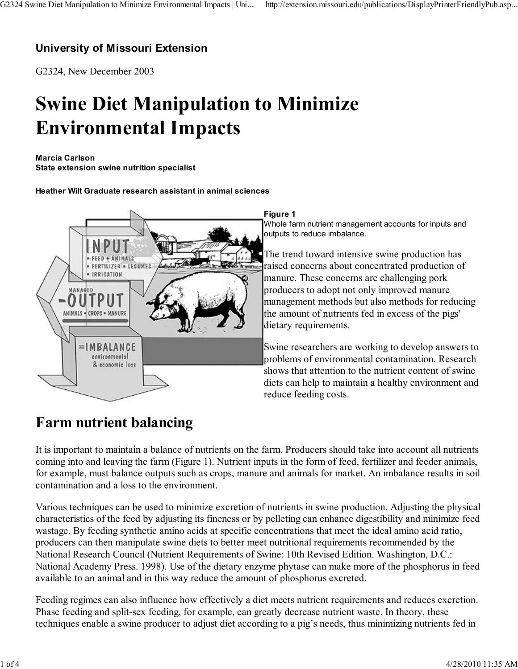### University of Missouri Extension

G2324, New December 2003

# Swine Diet Manipulation to Minimize Environmental Impacts

#### Marcia Carlson

State extension swine nutrition specialist

#### Heather Wilt Graduate research assistant in animal sciences



#### Figure 1

Whole farm nutrient management accounts for inputs and outputs to reduce imbalance.

The trend toward intensive swine production has raised concerns about concentrated production of manure. These concerns are challenging pork producers to adopt not only improved manure management methods but also methods for reducing the amount of nutrients fed in excess of the pigs' dietary requirements.

Swine researchers are working to develop answers to problems of environmental contamination. Research shows that attention to the nutrient content of swine diets can help to maintain a healthy environment and reduce feeding costs.

### Farm nutrient balancing

It is important to maintain a balance of nutrients on the farm. Producers should take into account all nutrients coming into and leaving the farm (Figure 1). Nutrient inputs in the form of feed, fertilizer and feeder animals, for example, must balance outputs such as crops, manure and animals for market. An imbalance results in soil contamination and a loss to the environment.

Various techniques can be used to minimize excretion of nutrients in swine production. Adjusting the physical characteristics of the feed by adjusting its fineness or by pelleting can enhance digestibility and minimize feed wastage. By feeding synthetic amino acids at specific concentrations that meet the ideal amino acid ratio, producers can then manipulate swine diets to better meet nutritional requirements recommended by the National Research Council (Nutrient Requirements of Swine: 10th Revised Edition. Washington, D.C.: National Academy Press. 1998). Use of the dietary enzyme phytase can make more of the phosphorus in feed available to an animal and in this way reduce the amount of phosphorus excreted.

Feeding regimes can also influence how effectively a diet meets nutrient requirements and reduces excretion. Phase feeding and split-sex feeding, for example, can greatly decrease nutrient waste. In theory, these techniques enable a swine producer to adjust diet according to a pig's needs, thus minimizing nutrients fed in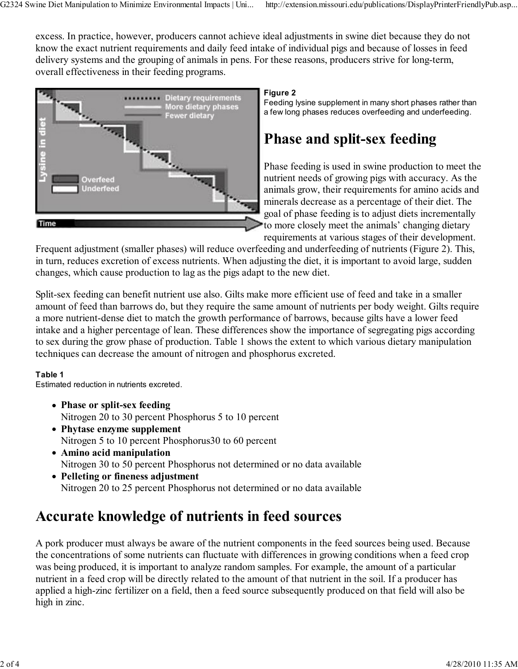excess. In practice, however, producers cannot achieve ideal adjustments in swine diet because they do not know the exact nutrient requirements and daily feed intake of individual pigs and because of losses in feed delivery systems and the grouping of animals in pens. For these reasons, producers strive for long-term, overall effectiveness in their feeding programs.



### Figure 2

Feeding lysine supplement in many short phases rather than a few long phases reduces overfeeding and underfeeding.

# Phase and split-sex feeding

Phase feeding is used in swine production to meet the nutrient needs of growing pigs with accuracy. As the animals grow, their requirements for amino acids and minerals decrease as a percentage of their diet. The goal of phase feeding is to adjust diets incrementally to more closely meet the animals' changing dietary requirements at various stages of their development.

Frequent adjustment (smaller phases) will reduce overfeeding and underfeeding of nutrients (Figure 2). This, in turn, reduces excretion of excess nutrients. When adjusting the diet, it is important to avoid large, sudden changes, which cause production to lag as the pigs adapt to the new diet.

Split-sex feeding can benefit nutrient use also. Gilts make more efficient use of feed and take in a smaller amount of feed than barrows do, but they require the same amount of nutrients per body weight. Gilts require a more nutrient-dense diet to match the growth performance of barrows, because gilts have a lower feed intake and a higher percentage of lean. These differences show the importance of segregating pigs according to sex during the grow phase of production. Table 1 shows the extent to which various dietary manipulation techniques can decrease the amount of nitrogen and phosphorus excreted.

### Table 1

Estimated reduction in nutrients excreted.

- Phase or split-sex feeding Nitrogen 20 to 30 percent Phosphorus 5 to 10 percent
- Phytase enzyme supplement Nitrogen 5 to 10 percent Phosphorus30 to 60 percent
- Amino acid manipulation Nitrogen 30 to 50 percent Phosphorus not determined or no data available
- Pelleting or fineness adjustment Nitrogen 20 to 25 percent Phosphorus not determined or no data available

### Accurate knowledge of nutrients in feed sources

A pork producer must always be aware of the nutrient components in the feed sources being used. Because the concentrations of some nutrients can fluctuate with differences in growing conditions when a feed crop was being produced, it is important to analyze random samples. For example, the amount of a particular nutrient in a feed crop will be directly related to the amount of that nutrient in the soil. If a producer has applied a high-zinc fertilizer on a field, then a feed source subsequently produced on that field will also be high in zinc.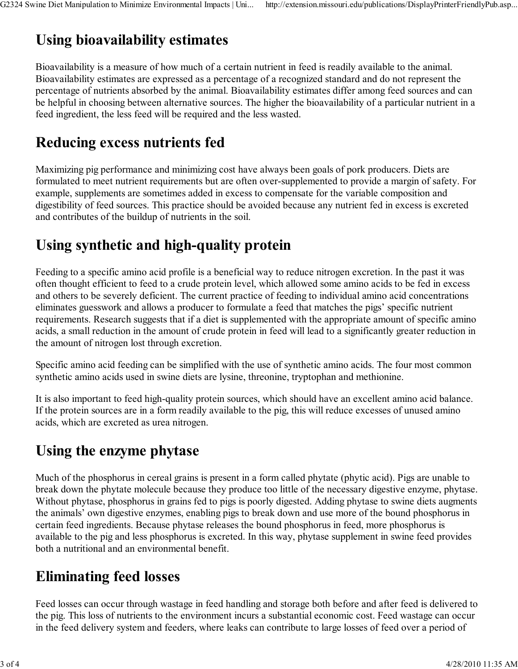# Using bioavailability estimates

Bioavailability is a measure of how much of a certain nutrient in feed is readily available to the animal. Bioavailability estimates are expressed as a percentage of a recognized standard and do not represent the percentage of nutrients absorbed by the animal. Bioavailability estimates differ among feed sources and can be helpful in choosing between alternative sources. The higher the bioavailability of a particular nutrient in a feed ingredient, the less feed will be required and the less wasted.

### Reducing excess nutrients fed

Maximizing pig performance and minimizing cost have always been goals of pork producers. Diets are formulated to meet nutrient requirements but are often over-supplemented to provide a margin of safety. For example, supplements are sometimes added in excess to compensate for the variable composition and digestibility of feed sources. This practice should be avoided because any nutrient fed in excess is excreted and contributes of the buildup of nutrients in the soil.

### Using synthetic and high-quality protein

Feeding to a specific amino acid profile is a beneficial way to reduce nitrogen excretion. In the past it was often thought efficient to feed to a crude protein level, which allowed some amino acids to be fed in excess and others to be severely deficient. The current practice of feeding to individual amino acid concentrations eliminates guesswork and allows a producer to formulate a feed that matches the pigs' specific nutrient requirements. Research suggests that if a diet is supplemented with the appropriate amount of specific amino acids, a small reduction in the amount of crude protein in feed will lead to a significantly greater reduction in the amount of nitrogen lost through excretion.

Specific amino acid feeding can be simplified with the use of synthetic amino acids. The four most common synthetic amino acids used in swine diets are lysine, threonine, tryptophan and methionine.

It is also important to feed high-quality protein sources, which should have an excellent amino acid balance. If the protein sources are in a form readily available to the pig, this will reduce excesses of unused amino acids, which are excreted as urea nitrogen.

### Using the enzyme phytase

Much of the phosphorus in cereal grains is present in a form called phytate (phytic acid). Pigs are unable to break down the phytate molecule because they produce too little of the necessary digestive enzyme, phytase. Without phytase, phosphorus in grains fed to pigs is poorly digested. Adding phytase to swine diets augments the animals' own digestive enzymes, enabling pigs to break down and use more of the bound phosphorus in certain feed ingredients. Because phytase releases the bound phosphorus in feed, more phosphorus is available to the pig and less phosphorus is excreted. In this way, phytase supplement in swine feed provides both a nutritional and an environmental benefit.

# Eliminating feed losses

Feed losses can occur through wastage in feed handling and storage both before and after feed is delivered to the pig. This loss of nutrients to the environment incurs a substantial economic cost. Feed wastage can occur in the feed delivery system and feeders, where leaks can contribute to large losses of feed over a period of